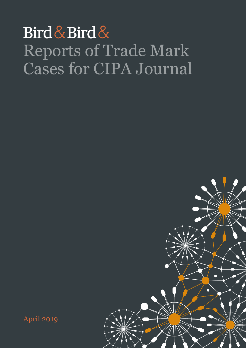## Bird & Bird & Reports of Trade Mark Cases for CIPA Journal



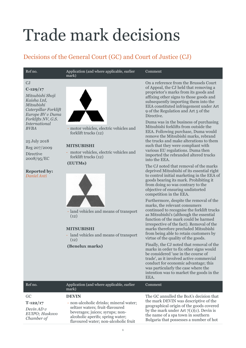# Trade mark decisions

## Decisions of the General Court (GC) and Court of Justice (CJ)

#### Ref no. Application (and where applicable, earlier mark)

## $C<sub>J</sub>$

**C-129/17**

*Mitsubishi Shoji Kaisha Ltd, Mitsubishi Caterpillar Forklift Europe BV v Duma Forklifts NV, G.S. International BVBA*

## 25 July 2018

Reg 207/2009 Directive 2008/95/EC

### **Reported by:** *Daniel Anti*



- motor vehicles, electric vehicles and forklift trucks (12)

## **MITSUBISHI**

- motor vehicles, electric vehicles and forklift trucks (12)

## **(EUTMs)**



- land vehicles and means of transport  $(12)$ 

## **MITSUBISHI**

- land vehicles and means of transport  $(12)$ 

**(Benelux marks)**

On a reference from the Brussels Court of Appeal, the CJ held that removing a proprietor's marks from its goods and affixing other signs to those goods and subsequently importing them into the EEA constituted infringement under Art 9 of the Regulation and Art 5 of the Directive.

Comment

Duma was in the business of purchasing Mitsubishi forklifts from outside the EEA. Following purchase, Duma would remove the Mitsubishi marks, rebrand the trucks and make alterations to them such that they were compliant with various EU regulations. Duma then imported the rebranded altered trucks into the EEA.

The CJ noted that removal of the marks deprived Mitsubishi of its essential right to control initial marketing in the EEA of goods bearing its mark. Prohibiting it from doing so was contrary to the objective of ensuring undistorted competition in the EEA.

Furthermore, despite the removal of the marks, the relevant consumers continued to recognise the forklift trucks as Mitsubishi's (although the essential function of the mark could be harmed irrespective of the fact). Removal of the marks therefore precluded Mitsubishi from being able to retain customers by virtue of the quality of the goods.

Finally, the CJ noted that removal of the marks in order to fix other signs would be considered 'use in the course of trade', as it involved active commercial conduct for economic advantage; this was particularly the case where the intention was to market the goods in the EEA.

|                                                                   |                                                                                                                                                                                                          | .                                                                                                                                                                                                                                                           |
|-------------------------------------------------------------------|----------------------------------------------------------------------------------------------------------------------------------------------------------------------------------------------------------|-------------------------------------------------------------------------------------------------------------------------------------------------------------------------------------------------------------------------------------------------------------|
| Ref no.                                                           | Application (and where applicable, earlier<br>mark)                                                                                                                                                      | Comment                                                                                                                                                                                                                                                     |
| GC.<br>$T-122/17$<br>Devin $AD$ v<br>EUIPO; Haskovo<br>Chamber of | <b>DEVIN</b><br>- non-alcoholic drinks; mineral water;<br>seltzer waters; fruit-flavoured<br>beverages; juices; syrups; non-<br>alcoholic aperifs; spring water;<br>flavoured water; non-alcoholic fruit | The GC annulled the BoA's decision that<br>the mark DEVIN was descriptive of the<br>geographical origin of the goods covered<br>by the mark under Art $7(1)(c)$ . Devin is<br>the name of a spa town in southern<br>Bulgaria that possesses a number of hot |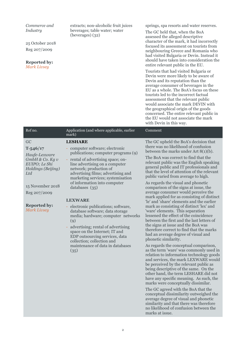| Commerce and<br>Industry<br>25 October 2018<br>Reg 207/2009<br><b>Reported by:</b><br><b>Mark Livsey</b>                                                                              | extracts; non-alcoholic fruit juices<br>beverages; table water; water<br>(beverages) (32)                                                                                                                                                                                                                                                                                                                                                                                                                                                                                                                                                          | springs, spa resorts and water reserves.<br>The GC held that, when the BoA<br>assessed the alleged descriptive<br>character of the mark, it had incorrectly<br>focused its assessment on tourists from<br>neighbouring Greece and Romania who<br>had visited Bulgaria or Devin. Instead it<br>should have taken into consideration the<br>entire relevant public in the EU.<br>Tourists that had visited Bulgaria or<br>Devin were more likely to be aware of<br>Devin and its reputation than the<br>average consumer of beverages in the<br>EU as a whole. The BoA's focus on these<br>tourists led to the incorrect factual<br>assessment that the relevant public<br>would associate the mark DEVIN with<br>the geographical origin of the goods<br>concerned. The entire relevant public in<br>the EU would not associate the mark<br>with Devin in this way.                                                                                                                                                                                                                                                                                                                                                                                                                                                                                                                                                                                                                                             |
|---------------------------------------------------------------------------------------------------------------------------------------------------------------------------------------|----------------------------------------------------------------------------------------------------------------------------------------------------------------------------------------------------------------------------------------------------------------------------------------------------------------------------------------------------------------------------------------------------------------------------------------------------------------------------------------------------------------------------------------------------------------------------------------------------------------------------------------------------|----------------------------------------------------------------------------------------------------------------------------------------------------------------------------------------------------------------------------------------------------------------------------------------------------------------------------------------------------------------------------------------------------------------------------------------------------------------------------------------------------------------------------------------------------------------------------------------------------------------------------------------------------------------------------------------------------------------------------------------------------------------------------------------------------------------------------------------------------------------------------------------------------------------------------------------------------------------------------------------------------------------------------------------------------------------------------------------------------------------------------------------------------------------------------------------------------------------------------------------------------------------------------------------------------------------------------------------------------------------------------------------------------------------------------------------------------------------------------------------------------------------|
| Ref no.                                                                                                                                                                               | Application (and where applicable, earlier<br>mark)                                                                                                                                                                                                                                                                                                                                                                                                                                                                                                                                                                                                | Comment                                                                                                                                                                                                                                                                                                                                                                                                                                                                                                                                                                                                                                                                                                                                                                                                                                                                                                                                                                                                                                                                                                                                                                                                                                                                                                                                                                                                                                                                                                        |
| GC<br>$T - 546/17$<br>Haufe-Lexware<br>GmbH & Co. Kg v<br>EUIPO; Le Shi<br>Holdings (Beijing)<br>Ltd<br>15 November 2018<br>Reg 207/2009<br><b>Reported by:</b><br><b>Mark Livsey</b> | <b>LESHARE</b><br>- computer software; electronic<br>publications; computer programs (9)<br>- rental of advertising space; on-<br>line advertising on a computer<br>network; production of<br>advertising films; advertising and<br>marketing services; systemisation<br>of information into computer<br>databases (35)<br><b>LEXWARE</b><br>electronic publications; software,<br>database software; data storage<br>media; hardware; computer networks<br>(9)<br>advertising; rental of advertising<br>space on the Internet; IT and<br>EDP outsourcing services, data<br>collection; collection and<br>maintenance of data in databases<br>(35) | The GC upheld the BoA's decision that<br>there was no likelihood of confusion<br>between the marks under Art $8(1)(b)$ .<br>The BoA was correct to find that the<br>relevant public was the English speaking<br>general public and IT professionals and<br>that the level of attention of the relevant<br>public varied from average to high.<br>As regards the visual and phonetic<br>comparison of the signs at issue, the<br>average consumer would perceive the<br>mark applied for as consisting of distinct<br>'le' and 'share' elements and the earlier<br>mark as consisting of distinct 'lex' and<br>'ware' elements. This separation<br>lessened the effect of the coincidence<br>between the first and the last letters of<br>the signs at issue and the BoA was<br>therefore correct to find that the marks<br>had an average degree of visual and<br>phonetic similarity.<br>As regards the conceptual comparison,<br>as the term 'ware' was commonly used in<br>relation to information technology goods<br>and services, the mark LEXWARE would<br>be perceived by the relevant public as<br>being descriptive of the same. On the<br>other hand, the term LESHARE did not<br>have any specific meaning. As such, the<br>marks were conceptually dissimilar.<br>The GC agreed with the BoA that the<br>conceptual dissimilarity outweighed the<br>average degree of visual and phonetic<br>similarity and that there was therefore<br>no likelihood of confusion between the<br>marks at issue. |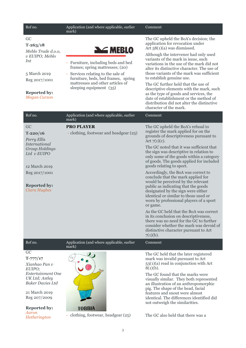| Ref no.                                                                                                                                                                  | Application (and where applicable, earlier<br>mark)                                                                                                                                                                              | Comment                                                                                                                                                                                                                                                                                                                                                                                                                                                                                                                                                                                                                                                                                                                                |
|--------------------------------------------------------------------------------------------------------------------------------------------------------------------------|----------------------------------------------------------------------------------------------------------------------------------------------------------------------------------------------------------------------------------|----------------------------------------------------------------------------------------------------------------------------------------------------------------------------------------------------------------------------------------------------------------------------------------------------------------------------------------------------------------------------------------------------------------------------------------------------------------------------------------------------------------------------------------------------------------------------------------------------------------------------------------------------------------------------------------------------------------------------------------|
| GC<br>$T-263/18$<br>Meblo Trade d.o.o,<br>v EUIPO; Meblo<br>Int<br>5 March 2019<br>Reg 2017/1001<br><b>Reported by:</b><br><b>Megan Curzon</b>                           | <b>NEBLO</b><br>- Furniture, including beds and bed<br>frames; spring mattresses; (20)<br>Services relating to the sale of<br>furniture, beds, bed frames, spring<br>mattresses and other articles of<br>sleeping equipment (35) | The GC upheld the BoA's decision; the<br>application for revocation under<br>Art $58(1)(a)$ was dismissed.<br>Although the intervener had only used<br>variants of the mark in issue, such<br>variations in the use of the mark did not<br>alter its distinctive character. The use of<br>those variants of the mark was sufficient<br>to establish genuine use.<br>The GC further held that the use of<br>descriptive elements with the mark, such<br>as the type of goods and services, the<br>date of establishment or the method of<br>distribution did not alter the distinctive<br>character of the mark.                                                                                                                        |
| Ref no.                                                                                                                                                                  | Application (and where applicable, earlier<br>mark)                                                                                                                                                                              | Comment                                                                                                                                                                                                                                                                                                                                                                                                                                                                                                                                                                                                                                                                                                                                |
| GC<br>$T-220/16$<br>Perry Ellis<br><b>International</b><br><b>Group Holdings</b><br>Ltd v EUIPO<br>12 March 2019<br>Reg 2017/1001<br><b>Reported by:</b><br>Ciara Hughes | <b>PRO PLAYER</b><br>- clothing, footwear and headgear (25)                                                                                                                                                                      | The GC upheld the BoA's refusal to<br>register the mark applied for on the<br>grounds of descriptiveness pursuant to<br>Art $7(1)(c)$ .<br>The GC noted that it was sufficient that<br>the sign was descriptive in relation to<br>only some of the goods within a category<br>of goods. The goods applied for included<br>goods relating to sport.<br>Accordingly, the BoA was correct to<br>conclude that the mark applied for<br>would be perceived by the relevant<br>public as indicating that the goods<br>designated by the sign were either<br>identical or similar to those used or<br>worn by professional players of a sport<br>or game.<br>As the GC held that the BoA was correct<br>in its conclusion on descriptiveness, |
|                                                                                                                                                                          |                                                                                                                                                                                                                                  | there was no need for the GC to further<br>consider whether the mark was devoid of<br>distinctive character pursuant to Art<br>$7(1)(b)$ .                                                                                                                                                                                                                                                                                                                                                                                                                                                                                                                                                                                             |
| Ref no.                                                                                                                                                                  | Application (and where applicable, earlier<br>mark)                                                                                                                                                                              | Comment                                                                                                                                                                                                                                                                                                                                                                                                                                                                                                                                                                                                                                                                                                                                |
| GC<br>$T - 777/17$<br>Xianhao Pan v<br>EUIPO;<br>Entertainment One<br>UK Ltd; Astley<br><b>Baker Davies Ltd</b><br>21 March 2019<br>Reg 207/2009<br><b>Reported by:</b>  | <b>TOBBIA</b>                                                                                                                                                                                                                    | The GC held that the later registered<br>mark was invalid pursuant to Art<br>$53(1)(a)$ read in conjunction with Art<br>$8(1)(b)$ .<br>The GC found that the marks were<br>visually similar. They both represented<br>an illustration of an anthropomorphic<br>pig. The shape of the head, facial<br>features and snout were almost<br>identical. The differences identified did<br>not outweigh the similarities.                                                                                                                                                                                                                                                                                                                     |
| Aaron<br>Hetherington                                                                                                                                                    | clothing, footwear, headgear (25)                                                                                                                                                                                                | The GC also held that there was a                                                                                                                                                                                                                                                                                                                                                                                                                                                                                                                                                                                                                                                                                                      |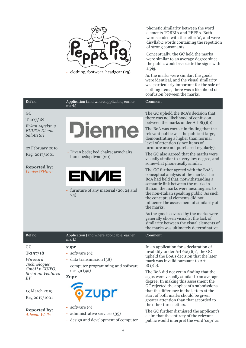

- clothing, footwear, headgear (25)

phonetic similarity between the word elements TOBBIA and PEPPA. Both words ended with the letter 'a', and were disyllabic words containing the repetition of strong consonants.

Conceptually, the GC held the marks were similar to an average degree since the public would associate the signs with a pig.

As the marks were similar, the goods were identical, and the visual similarity was particularly important for the sale of clothing items, there was a likelihood of confusion between the marks.

| Ref no.                                                             | Application (and where applicable, earlier<br>mark)                                           | Comment                                                                                                                                                                                                    |
|---------------------------------------------------------------------|-----------------------------------------------------------------------------------------------|------------------------------------------------------------------------------------------------------------------------------------------------------------------------------------------------------------|
| GC<br>$T-107/18$                                                    |                                                                                               | The GC upheld the BoA's decision that<br>there was no likelihood of confusion<br>between the marks under Art $8(1)(b)$ .                                                                                   |
| Erkan Aytekin v<br>EUIPO; Dienne<br>Salotti Srl<br>27 February 2019 | <b>Dienne</b>                                                                                 | The BoA was correct in finding that the<br>relevant public was the public at large,<br>demonstrating a higher than normal<br>level of attention (since items of<br>furniture are not purchased regularly). |
| Reg 2017/1001                                                       | - Divan beds; bed chairs; armchairs;<br>bunk beds; divan (20)                                 | The GC also agreed that the marks were<br>visually similar to a very low degree, and<br>somewhat phonetically similar.                                                                                     |
| <b>Reported by:</b><br>Louise O'Hara                                | <b>ENIME</b><br>furniture of any material (20, 24 and                                         | The GC further agreed with the BoA's<br>conceptual analysis of the marks. The<br>BoA had held that, notwithstanding a<br>semantic link between the marks in<br>Italian, the marks were meaningless to      |
|                                                                     | 25)                                                                                           | the non-Italian speaking public. As such<br>the conceptual elements did not<br>influence the assessment of similarity of<br>the marks.                                                                     |
|                                                                     |                                                                                               | As the goods covered by the marks were<br>generally chosen visually, the lack of<br>similarity between the visual elements of<br>the marks was ultimately determinative.                                   |
| Ref no.                                                             | Application (and where applicable, earlier<br>mark)                                           | Comment                                                                                                                                                                                                    |
| GC<br>$T-297/18$<br>Wirecard<br>Technologies                        | supr<br>- software $(9)$ ;<br>- data transmission (38)<br>- computer programming and software | In an application for a declaration of<br>invalidity under Art $60(1)(a)$ , the GC<br>upheld the BoA's decision that the later<br>mark was invalid pursuant to Art<br>$8(1)(b)$ .                          |
| GmbH v EUIPO;<br><b>Striatum Ventures</b><br>BV                     | design(42)<br><b>Zupr</b>                                                                     | The BoA did not err in finding that the<br>signs were visually similar to an average<br>degree. In making this assessment the<br>GC rejected the applicant's submissions                                   |
| 13 March 2019<br>Reg 2017/1001                                      | <b><i><u><b></b></u></i></b><br>- software (9)                                                | that the difference in the letters at the<br>start of both marks should be given<br>greater attention than that accorded to<br>the other three letters.                                                    |
| <b>Reported by:</b><br><b>Adeena Wells</b>                          | administrative services (35)<br>design and development of computer                            | The GC further dismissed the applicant's<br>claim that the entirety of the relevant<br>public would interpret the word 'supr' as                                                                           |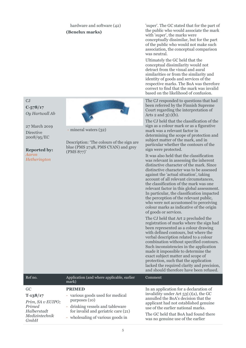## hardware and software (42) **(Benelux marks)**

'super'. The GC stated that for the part of the public who would associate the mark with 'super', the marks were conceptually dissimilar, but for the part of the public who would not make such association, the conceptual comparison was neutral.

Ultimately the GC held that the conceptual dissimilarity would not detract from the visual and aural similarities or from the similarity and identity of goods and services of the respective marks. The BoA was therefore correct to find that the mark was invalid based on the likelihood of confusion.

The CJ responded to questions that had been referred by the Finnish Supreme Court regarding the interpretation of Arts  $2$  and  $3(1)(b)$ .

The CJ held that the classification of the sign as a colour mark or as a figurative mark was a relevant factor in determining the scope of protection and subject matter of the mark, and in particular whether the contours of the sign were protected.

It was also held that the classification was relevant in assessing the inherent distinctive character of the mark. Since distinctive character was to be assessed against the 'actual situation', taking account of all relevant circumstances, the classification of the mark was one relevant factor in this global assessment. In particular, the classification impacted the perception of the relevant public, who were not accustomed to perceiving colour marks as indicative of the origin of goods or services.

The CJ held that Art 2 precluded the registration of marks where the sign had been represented as a colour drawing with defined contours, but where the verbal description related to a colour combination without specified contours. Such inconsistencies in the application made it impossible to determine the exact subject matter and scope of protection, such that the application lacked the required clarity and precision, and should therefore have been refused.

| Ref no.                                                         | Application (and where applicable, earlier<br>mark)                                                                                                               | Comment.                                                                                                                                                                                                                                     |
|-----------------------------------------------------------------|-------------------------------------------------------------------------------------------------------------------------------------------------------------------|----------------------------------------------------------------------------------------------------------------------------------------------------------------------------------------------------------------------------------------------|
| GC                                                              | <b>PRIMED</b>                                                                                                                                                     | In an application for a declaration of                                                                                                                                                                                                       |
| $T-138/17$<br>Prim, SA v EUIPO;<br>Primed<br><b>Halberstadt</b> | - various goods used for medical<br>purposes (10)<br>- drinking vessels and tableware<br>for invalid and geriatric care (21)<br>- wholesaling of various goods in | invalidity under Art $53(1)(a)$ , the GC<br>annulled the BoA's decision that the<br>applicant had not established genuine<br>use of the earlier national marks.<br>The GC held that BoA had found there<br>was no genuine use of the earlier |
| Medizintechnik<br><b>GmbH</b>                                   |                                                                                                                                                                   |                                                                                                                                                                                                                                              |

CJ **C‑578/17** *Oy Hartwall Ab*

27 March 2019 Directive 2008/95/EC

### **Reported by:** *Aaron*

*Hetherington*

- mineral waters (32)

Description: 'The colours of the sign are blue (PMS 2748, PMS CYAN) and grey (PMS 877)'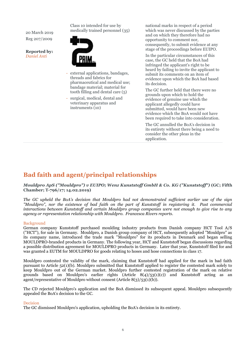20 March 2019 Reg 207/2009

**Reported by:** *Daniel Anti*

Class 10 intended for use by medically trained personnel (35)



- external applications, bandages, threads and fabrics for pharmaceutical and medical use; bandage material; material for tooth filling and dental care (5)
- surgical, medical, dental and veterinary apparatus and instruments (10)

national marks in respect of a period which was never discussed by the parties and on which they therefore had no opportunity to comment nor, consequently, to submit evidence at any stage of the proceedings before EUIPO.

In the particular circumstances of this case, the GC held that the BoA had infringed the applicant's right to be heard by failing to invite the applicant to submit its comments on an item of evidence upon which the BoA had based its decision.

The GC further held that there were no grounds upon which to hold the evidence of genuine use which the applicant allegedly could have submitted, would have been new evidence which the BoA would not have been required to take into consideration.

The GC annulled the BoA's decision in its entirety without there being a need to consider the other pleas in the application.

## **Bad faith and agent/principal relationships**

*Mouldpro ApS ("Mouldpro") v EUIPO; Wenz Kunststoff GmbH & Co. KG ("Kunststoff")* **(GC; Fifth Chamber; T‑796/17; 14.02.2019)**

*The GC upheld the BoA's decision that Mouldpro had not demonstrated sufficient earlier use of the sign "Mouldpro", nor the existence of bad faith on the part of Kunststoff in registering it. Past commercial interactions between Kunststoff and certain Mouldpro group companies were not enough to give rise to any agency or representation relationship with Mouldpro. Francesca Rivers reports.*

## Background

German company Kunststoff purchased moulding industry products from Danish company HCT Tool A/S ("HCT"), for sale in Germany. Mouldpro, a Danish group company of HCT, subsequently adopted "Mouldpro" as its company name, introduced the trade mark "Mouldpro" for its products in Denmark and began selling MOULDPRO-branded products in Germany. The following year, HCT and Kunststoff began discussions regarding a possible distribution agreement for MOULDPRO products in Germany. Later that year, Kunststoff filed for and was granted a EUTM for MOULDPRO for goods relating to hoses and hose connections in class 17.

Mouldpro contested the validity of the mark, claiming that Kunststoff had applied for the mark in bad faith pursuant to Article 52(1)(b). Mouldpro submitted that Kunststoff applied to register the contested mark solely to keep Mouldpro out of the German market. Mouldpro further contested registration of the mark on relative grounds based on Mouldpro's earlier rights (Article  $8(4)/53(1)(c)$ ) and Kunststoff acting as an agent/representative of Mouldpro without consent (Article 8(3)/53(1)(b)).

The CD rejected Mouldpro's application and the BoA dismissed its subsequent appeal. Mouldpro subsequently appealed the BoA's decision to the GC.

## Decision

The GC dismissed Mouldpro's application, upholding the BoA's decision in its entirety.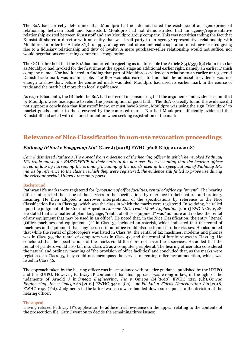The BoA had correctly determined that Mouldpro had not demonstrated the existence of an agent/principal relationship between itself and Kunststoff. Mouldpro had not demonstrated that an agency/representative relationship existed between Kunststoff and any Mouldpro group company. This was notwithstanding the fact that Kunststoff shared a director with an entity that was itself party to an agency/representative relationship with Mouldpro. In order for Article 8(3) to apply, an agreement of commercial cooperation must have existed giving rise to a fiduciary relationship and duty of loyalty. A mere purchaser-seller relationship would not suffice, nor would negotiations concerning commercial cooperation.

The GC further held that the BoA had not erred in rejecting as inadmissible the Article  $8(4)/53(1)(c)$  claim in so far as Mouldpro had invoked for the first time at the appeal stage an additional earlier right, namely an earlier Danish company name. Nor had it erred in finding that part of Mouldpro's evidence in relation to an earlier unregistered Danish trade mark was inadmissible. The BoA was also correct to find that the admissible evidence was not enough to show that, before the contested mark was filed, Mouldpro had used its earlier mark in the course of trade and the mark had more than local significance.

As regards bad faith, the GC held the BoA had not erred in considering that the arguments and evidence submitted by Mouldpro were inadequate to rebut the presumption of good faith. The BoA correctly found the evidence did not support a conclusion that Kunststoff knew, or must have known, Mouldpro was using the sign "Mouldpro" to market goods similar to those covered by the contested mark. Nor had Mouldpro sufficiently evidenced that Kunststoff had acted with dishonest intention when seeking registration of the mark.

## **Relevance of Nice Classification in non-use revocation proceedings**

## *Pathway IP Sarl v Easygroup Ltd***\* (Carr J; [2018] EWHC 3608 (Ch); 21.12.2018)**

*Carr J dismissed Pathway IP's appeal from a decision of the hearing officer in which he revoked Pathway IP's trade marks for EASYOFFICE in their entirety for non-use. Even assuming that the hearing officer erred in law by narrowing the ordinary meaning of the words used in the specifications of Pathway IP's marks by reference to the class in which they were registered, the evidence still failed to prove use during the relevant period. Hilary Atherton reports.* 

## Background

Pathway IP's marks were registered for *"provision of office facilities, rental of office equipment".* The hearing officer interpreted the scope of the services in the specifications by reference to their natural and ordinary meaning. He then adopted a narrower interpretation of the specifications by reference to the Nice Classification lists in Class 35, which was the class in which the marks were registered. In so doing, he relied upon the judgment of the Court of Appeal in *Altecnic Ltd's Trade Mark Application* [2001] EWCA Civ 1928. He stated that as a matter of plain language, "rental of office equipment" was "no more and no less the rental of any equipment that may be used in an office". He noted that, in the Nice Classification, the entry "Rental (Office machines and equipment –)\*" in Class 35 included an asterisk, which indicated that the rental of machines and equipment that may be used in an office could also be found in other classes. He also noted that while the rental of photocopiers was listed in Class 35, the rental of fax machines, modems and phones was in Class 39, the rental of computers was in Class 42, and the rental of furniture was in Class 43. He concluded that the specifications of the marks could therefore not cover these services. He added that the rental of printers would also fall into Class 42 as a computer peripheral. The hearing officer also considered the natural and ordinary meaning of "the provision of office facilities" and concluded that, as the marks were registered in Class 35, they could not encompass the service of renting office accommodation, which was listed in Class 36.

The approach taken by the hearing officer was in accordance with practice guidance published by the UKIPO and the EUIPO. However, Pathway IP contended that this approach was wrong in law, in the light of the judgments of Arnold J in *Omega Engineering, Inc v Omega SA* [2010] EWHC 1211 (Ch), *Omega Engineering, Inc v Omega SA* [2012] EWHC 3440 (Ch), and *Fil Ltd v Fidelis Underwriting Ltd* [2018] EWHC 1097 (Pat). Judgments in the latter two cases were handed down subsequent to the decision of the hearing officer.

## The appeal

Having refused Pathway IP's application to adduce fresh evidence on the appeal relating to the contents of the prosecution file, Carr J went on to decide the remaining three issues: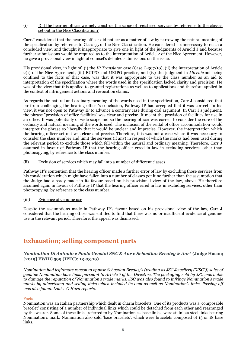(i) Did the hearing officer wrongly construe the scope of registered services by reference to the classes set out in the Nice Classification?

Carr J considered that the hearing officer did not err as a matter of law by narrowing the natural meaning of the specification by reference to Class 35 of the Nice Classification. He considered it unnecessary to reach a concluded view, and thought it inappropriate to give one in light of the judgments of Arnold J and because further submissions would be required as to the interpretation of Article 2 of the Nice Agreement. However, he gave a provisional view in light of counsel's detailed submissions on the issue.

His provisional view, in light of: (i) the *IP Translator* case (Case C-307/10), (ii) the interpretation of Article 2(1) of the Nice Agreement, (iii) EUIPO and UKIPO practice, and (iv) the judgment in *Altecnic* not being confined to the facts of that case, was that it was appropriate to use the class number as an aid to interpretation of the specification where the words used in the specification lacked clarity and precision. He was of the view that this applied to granted registrations as well as to applications and therefore applied in the context of infringement actions and revocation claims.

As regards the natural and ordinary meaning of the words used in the specification, Carr J considered that far from challenging the hearing officer's conclusion, Pathway IP had accepted that it was correct. In his view, it was not open to Pathway IP to advance a contrary case during oral argument. In Carr J's judgment, the phrase "provision of office facilities" was clear and precise. It meant the provision of facilities for use in an office. It was potentially of wide scope and so the hearing officer was correct to consider the core of the ordinary and natural meaning of the words used. The inclusion of the rental of office accommodation would interpret the phrase so liberally that it would be unclear and imprecise. However, the interpretation which the hearing officer set out was clear and precise. Therefore, this was not a case where it was necessary to consider the class number and limit the services (if any) in respect of which the marks had been used during the relevant period to exclude those which fell within the natural and ordinary meaning. Therefore, Carr J assumed in favour of Pathway IP that the hearing officer erred in law in excluding services, other than photocopying, by reference to the class number.

(ii) Exclusion of services which may fall into a number of different classes

Pathway IP's contention that the hearing officer made a further error of law by excluding those services from his consideration which might have fallen into a number of classes got it no further than the assumption that the Judge had already made in its favour based on his provisional view of the law, above. He therefore assumed again in favour of Pathway IP that the hearing officer erred in law in excluding services, other than photocopying, by reference to the class number.

## (iii) Evidence of genuine use

Despite the assumptions made in Pathway IP's favour based on his provisional view of the law, Carr J considered that the hearing officer was entitled to find that there was no or insufficient evidence of genuine use in the relevant period. Therefore, the appeal was dismissed.

## **Exhaustion; selling component parts**

## *Nomination Di Antonio e Paolo Gensini SNC & Anr v Sebastian Brealey & Anr\** **(Judge Hacon; [2019] EWHC 599 (IPEC); 13.03.19)**

*Nomination had legitimate reason to oppose Sebastian Brealey's (trading as JSC Jewellery ("JSC")) sales of genuine Nomination base links pursuant to Article 7 of the Directive. The packaging sold by JSC was liable to damage the reputation of Nomination's trade marks. JSC was also found to infringe Nomination's trade marks by advertising and selling links which included its own as well as Nomination's links. Passing off was also found. Louise O'Hara reports.*

## Facts

Nomination was an Italian partnership which dealt in charm bracelets. One of its products was a 'composable bracelet' consisting of a number of individual links which could be detached from each other and rearranged by the wearer. Some of these links, referred to by Nomination as 'base links', were stainless steel links bearing Nomination's mark. Nomination also sold 'base bracelets', which were bracelets composed of 13 or 18 base links.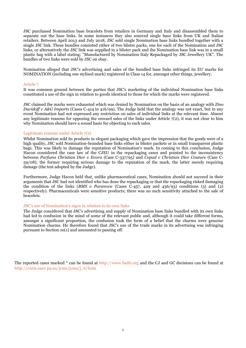JSC purchased Nomination base bracelets from retailers in Germany and Italy and disassembled them to separate out the base links. In some instances they also sourced single base links from UK and Italian retailers. Between April 2013 and July 2018, JSC sold single Nomination base links bundled together with a single JSC link. These bundles consisted either of two blister packs, one for each of the Nomination and JSC links, or alternatively the JSC link was supplied in a blister pack and the Nomination base link was in a small plastic bag with a label stating: "Manufactured by Nomination Italy Repackaged by JSC Jewellery UK". The bundles of two links were sold by JSC on ebay.

Nomination alleged that JSC's advertising and sales of the bundled base links infringed its EU marks for NOMINATION (including one stylised mark) registered in Class 14 for, amongst other things, jewellery.

### Article 7

It was common ground between the parties that JSC's marketing of the individual Nomination base links constituted a use of the sign in relation to goods identical to those for which the marks were registered.

JSC claimed the marks were exhausted which was denied by Nomination on the basis of an analogy with *Zino Davidoff v A&G Imports* (Cases C-414 to 416/99). The Judge held that the analogy was not exact, but in any event Nomination had not expressed any restriction on sales of individual links at the relevant time. Absent any legitimate reasons for opposing the onward sales of the links under Article  $7(2)$ , it was not clear to him why Nomination should have a sound basis for objecting to such sales.

### Legitimate reasons under Article 7(2)

Whilst Nomination sold its products in elegant packaging which gave the impression that the goods were of a high quality, JSC sold Nomination-branded base links either in blister packets or in small transparent plastic bags. This was likely to damage the reputation of Nomination's mark. In coming to this conclusion, Judge Hacon considered the case law of the CJEU in the repackaging cases and pointed to the inconsistency between *Parfums Christian Dior v Evora* (Case C-337/95) and *Copad v Christian Dior Couture* (Case C-59/08); the former requiring serious damage to the reputation of the mark, the latter merely requiring damage (the test adopted by the Judge).

Furthermore, Judge Hacon held that, unlike pharmaceutical cases, Nomination should not succeed in their arguments that JSC had not identified who has done the repackaging or that the repackaging risked damaging the condition of the links (*BMS v Paranova* (Cases C-457, 429 and 436/93) conditions (3) and (2) respectively). Pharmaceuticals were sensitive products; there was no such sensitivity attached to the sale of bracelets.

#### JSC's use of Nomination's signs in relation to its own links

The Judge considered that JSC's advertising and supply of Nomination base links bundled with its own links had led to confusion in the mind of some of the relevant public and, although it could take different forms, amongst a significant proportion, the confusion took the form of a belief that the charms were genuine Nomination charms. He therefore found that JSC's use of the trade marks in its advertising was infringing pursuant to Section 10(1) and amounted to passing off.

The reported cases marked \* can be found at http://www.bailii.org and the CJ and GC decisions can be found at http://curia.euro pa.eu/jcms/jcms/j\_6/hom